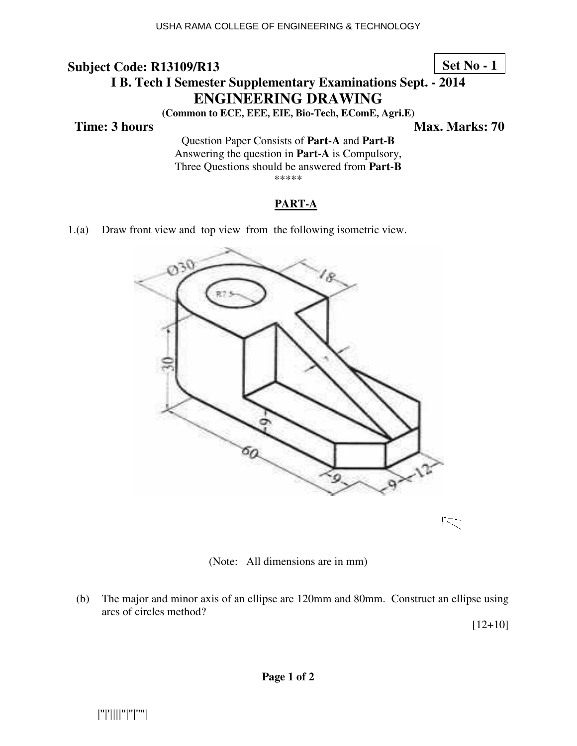## **Subject Code: R13109/R13 I B. Tech I Semester Supplementary Examinations Sept. - 2014 ENGINEERING DRAWING**

**(Common to ECE, EEE, EIE, Bio-Tech, EComE, Agri.E)** 

**Time: 3 hours** Max. Marks: 70

**Set No - 1**

Question Paper Consists of **Part-A** and **Part-B** Answering the question in **Part-A** is Compulsory, Three Questions should be answered from **Part-B** \*\*\*\*\*

#### **PART-A**

1.(a) Draw front view and top view from the following isometric view.



(Note: All dimensions are in mm)

 (b) The major and minor axis of an ellipse are 120mm and 80mm. Construct an ellipse using arcs of circles method?

 $[12+10]$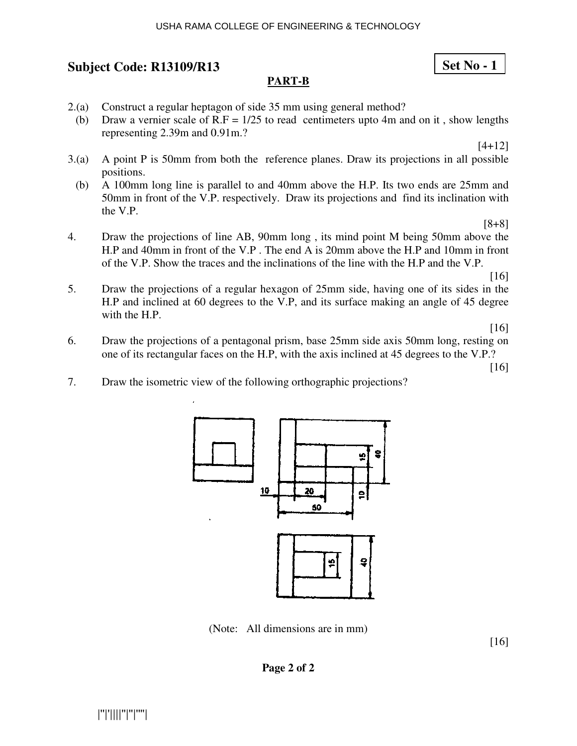#### USHA RAMA COLLEGE OF ENGINEERING & TECHNOLOGY

## **Subject Code: R13109/R13 13**

## **PART-B**

- 2.(a) Construct a regular heptagon of side 35 mm using general method?
- (b) Draw a vernier scale of  $R.F = 1/25$  to read centimeters upto 4m and on it, show lengths representing 2.39m and 0.91m.?

[4+12]

**Set No - 1**

- 3.(a) A point P is 50mm from both the reference planes. Draw its projections in all possible positions.
- (b) A 100mm long line is parallel to and 40mm above the H.P. Its two ends are 25mm and 50mm in front of the V.P. respectively. Draw its projections and find its inclination with the V.P.

[8+8]

4. Draw the projections of line AB, 90mm long, its mind point M being 50mm above the H.P and 40mm in front of the V.P. The end A is 20mm above the H.P and 10mm in front of the V.P. Show the traces and the inclinations of the line with the H.P and the V.P.

[16]

5. Draw the projections of a regular hexagon of 25mm side, having one of its sides in the H.P and inclined at 60 degrees to the V.P, and its surface making an angle of 45 degree with the H.P.

[16]

6. Draw the projections of a pentagonal prism, base 25mm side axis 50mm long, resting on one of its rectangular faces on the H.P, with the axis inclined at 45 degrees to the V.P.?

[16]

7. Draw the isometric view of the following orthographic projections?



(N Note: All dimensions are in mm)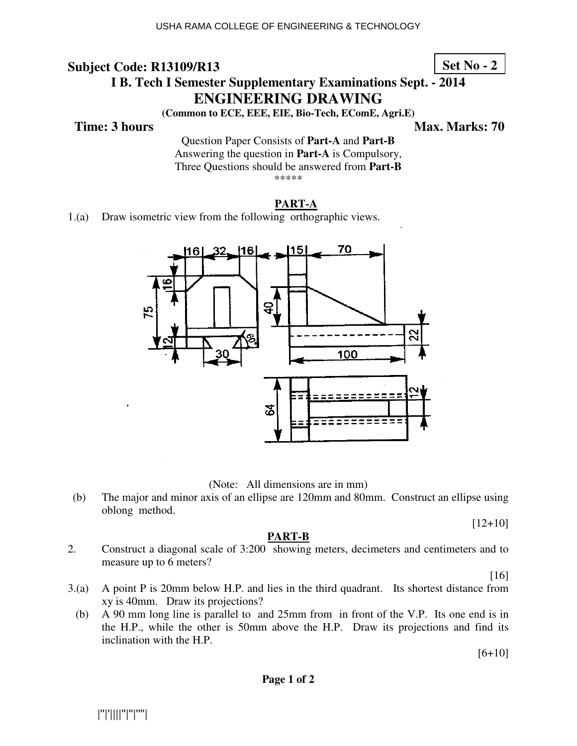**Set No - 2**

## **I B. Tech I Semeste ster Supplementary Examinations Sept. - 2014 ENG NGINEERING DRAWING**

**(Common to to ECE, EEE, EIE, Bio-Tech, EComE, Agri.E)** 

#### **Time: 3 hours**

*Ma* **ax. Marks: 70**

Question Paper Consists of Part-A and Part-B Answering the question in **Part-A** is Compulsory, Three Questions should be answered from Part-B \*\*\*\*\*

## **PART-A**

1.(a) Draw isometric view from the following orthographic views.



(N Note: All dimensions are in mm)

(b) The major and minor axis of an ellipse are 120mm and 80mm. Construct an ellipse using oblong method.

[12+10]

#### **PART-B**

2. Construct a diagonal scale of 3:200 showing meters, decimeters and centimeters and to measure up to 6 meters?

[16]

- 3.(a) A point P is 20mm below H.P. and lies in the third quadrant. Its shortest distance from xy is 40mm. Draw its projections?
- (b) A 90 mm long line is parallel to and  $25 \text{mm}$  from in front of the V.P. Its one end is in the H.P., while the other is 50mm above the H.P. Draw its projections and find its inclination with the H.P.

 $[6+10]$ 

**Page 1 of 2**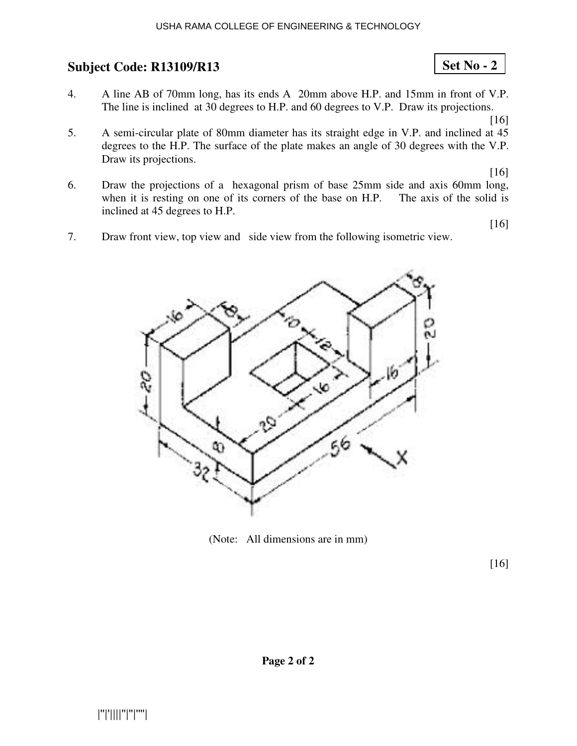- 4. A line AB of 70mm long, has its ends A 20mm above H.P. and 15mm in front of V.P. The line is inclined at 30 degrees to H.P. and 60 degrees to V.P. Draw its projections.
- 5. A semi-circular plate of 80mm diameter has its straight edge in V.P. and inclined at 45 degrees to the H.P. The surface of the plate makes an angle of 30 degrees with the V.P. Draw its projections.

[16]

[16]

[16]

**Set No - 2**

- 6. Draw the projections of a hexagonal prism of base 25mm side and axis 60mm long, when it is resting on one of its corners of the base on H.P. The axis of the solid is inclined at 45 degrees to H.P.
- 7. Draw front view, top view and side view from the following isometric view.



(Note: All dimensions are in mm)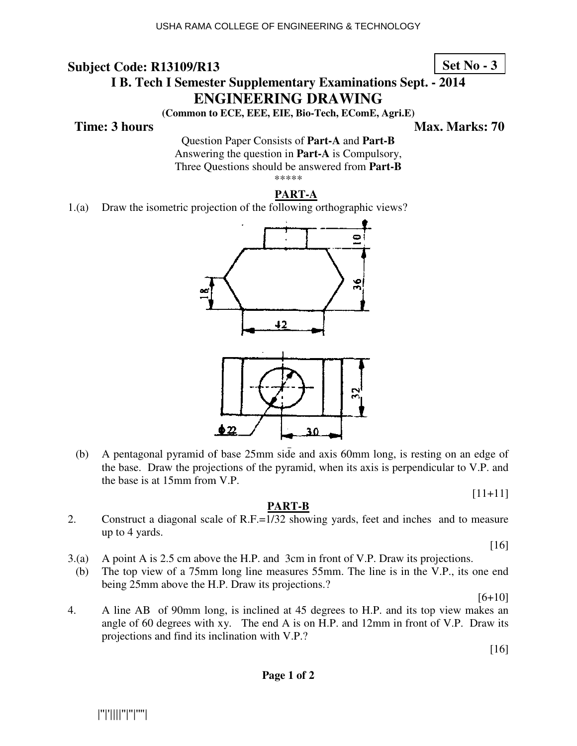**Set No - 3**

## **I B. Tech I Semeste ster Supplementary Examinations Sept. - 2014 ENG NGINEERING DRAWING**

**(Common to to ECE, EEE, EIE, Bio-Tech, EComE, Agri.E)** 

### **Time: 3 hours**

*Ma* **ax. Marks: 70**

Question Paper Consists of Part-A and Part-B Answering the question in **Part-A** is Compulsory, Three Questions should be answered from Part-B \*\*\*\*\*

## **PART-A**

1.(a) Draw the isometric projection of the following orthographic views?



(b) A pentagonal pyramid of base 25mm side and axis 60mm long, is resting on an edge of the base. Draw the projections of the pyramid, when its axis is perpendicular to V.P. and the base is at 15mm from V.P.

[11+11]

#### **PART-B**

2. Construct a diagonal scale of R.F.=1/32 showing yards, feet and inches and to measure up to 4 yards.

[16]

- $3(a)$  A point A is 2.5 cm above the H.P. and 3cm in front of V.P. Draw its projections.
- (b) The top view of a  $75 \text{mm}$  long line measures  $55 \text{mm}$ . The line is in the V.P., its one end being 25mm above the H.P. Draw its projections.?

 $[6+10]$ 

4. A line AB of 90mm long, is inclined at 45 degrees to H.P. and its top view makes an angle of 60 degrees with xy. The end A is on H.P. and  $12 \text{mm}$  in front of V.P. Draw its projections and find its inclination with V.P.?

[16]

**Page 1 of 2**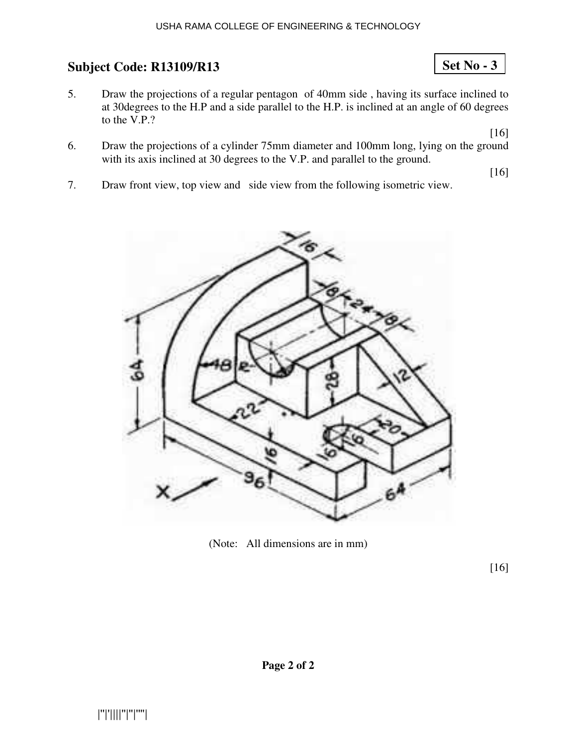5. Draw the projections of a regular pentagon of 40mm side , having its surface inclined to at 30degrees to the H.P and a side parallel to the H.P. is inclined at an angle of 60 degrees to the V.P.?

[16]

**Set No - 3**

6. Draw the projections of a cylinder 75mm diameter and 100mm long, lying on the ground with its axis inclined at 30 degrees to the V.P. and parallel to the ground.

[16]

7. Draw front view, top view and side view from the following isometric view.



(Note: All dimensions are in mm)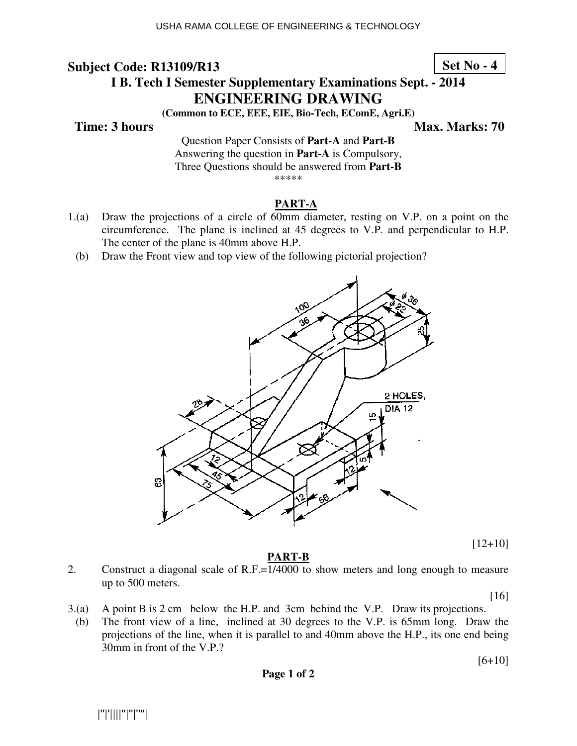## **Set No - 4**

## **I B. Tech I Semeste ster Supplementary Examinations Sept. - 2014 ENG NGINEERING DRAWING**

**(Common to to ECE, EEE, EIE, Bio-Tech, EComE, Agri.E)** 

## **Time: 3 hours**

*Ma* **ax. Marks: 70**

Question Paper Consists of Part-A and Part-B Answering the question in **Part-A** is Compulsory, Three Questions should be answered from Part-B \*\*\*\*\*

#### **PART-A**

- 1.(a) Draw the projections of a circle of 60mm diameter, resting on V.P. on a point on the circumference. The plane is inclined at  $45$  degrees to V.P. and perpendicular to H.P. The center of the plane is 40mm above H.P.
	- (b) Draw the Front view and top view of the following pictorial projection?



[12+10]

#### **PART-B**

2. Construct a diagonal scale of R.F.=1/4000 to show meters and long enough to measure up to 500 meters.

[16]

[6+10]

- $3(a)$  A point B is  $2 \text{ cm}$  below the H.P. and  $3 \text{ cm}$  behind the V.P. Draw its projections.
- (b) The front view of a line, inclined at 30 degrees to the V.P. is  $65 \text{mm}$  long. Draw the projections of the line, when it is parallel to and 40mm above the H.P., its one end being 30mm in front of the V.P.?

**Page 1 of 2**